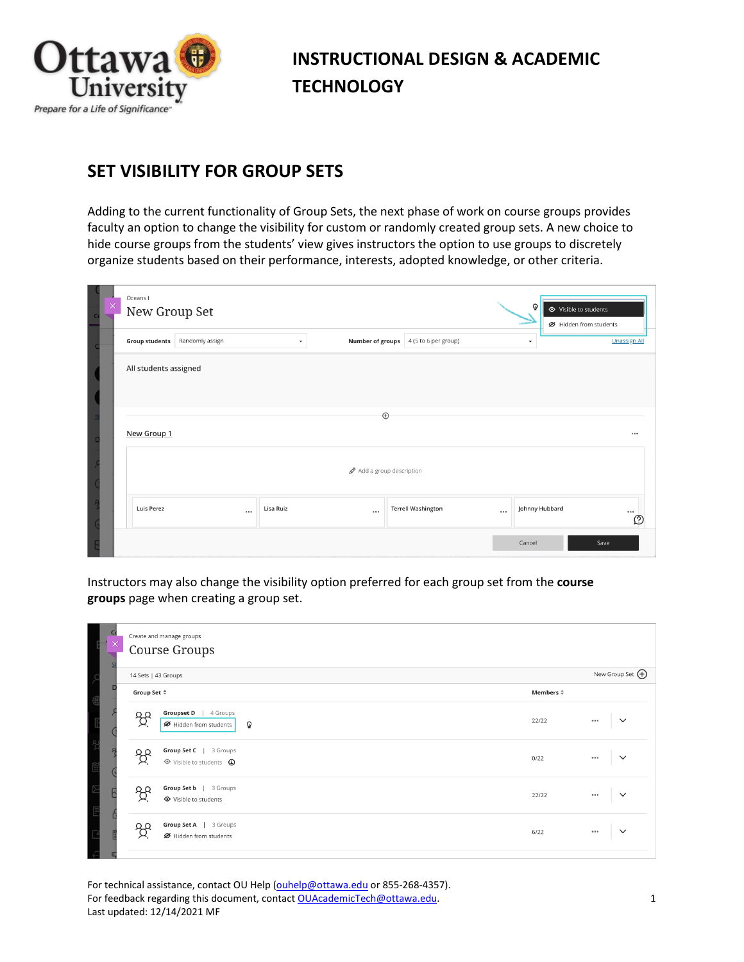

## **INSTRUCTIONAL DESIGN & ACADEMIC TECHNOLOGY**

## **SET VISIBILITY FOR GROUP SETS**

Adding to the current functionality of Group Sets, the next phase of work on course groups provides faculty an option to change the visibility for custom or randomly created group sets. A new choice to hide course groups from the students' view gives instructors the option to use groups to discretely organize students based on their performance, interests, adopted knowledge, or other criteria.

| × | Oceans I<br>New Group Set | Õ               | ← Visible to students<br>■ Hidden from students |                  |                           |          |                |                     |  |  |
|---|---------------------------|-----------------|-------------------------------------------------|------------------|---------------------------|----------|----------------|---------------------|--|--|
|   | <b>Group students</b>     | Randomly assign | $\overline{\phantom{a}}$                        | Number of groups | 4 (5 to 6 per group)      |          | $\checkmark$   | <b>Unassign All</b> |  |  |
|   | All students assigned     |                 |                                                 |                  |                           |          |                |                     |  |  |
|   | $\bigoplus$               |                 |                                                 |                  |                           |          |                |                     |  |  |
|   | New Group 1               |                 |                                                 |                  |                           |          |                |                     |  |  |
|   | Add a group description   |                 |                                                 |                  |                           |          |                |                     |  |  |
|   | Luis Perez                | $\cdots$        | Lisa Ruiz                                       |                  | <b>Terrell Washington</b> | $\cdots$ | Johnny Hubbard | <br>റ               |  |  |
|   |                           |                 |                                                 |                  |                           |          | Cancel         | Save                |  |  |

Instructors may also change the visibility option preferred for each group set from the **course groups** page when creating a group set.

| c<br>$\times$ | Create and manage groups<br>Course Groups                                        |                   |                           |
|---------------|----------------------------------------------------------------------------------|-------------------|---------------------------|
|               | 14 Sets   43 Groups                                                              |                   | New Group Set $\bigoplus$ |
| П             | Group Set $\Leftrightarrow$                                                      | Members $\hat{=}$ |                           |
|               | <b>Groupset D</b><br>4 Groups<br>್ದಿ?<br>Hidden from students<br>$\mathbf{\Phi}$ | 22/22             | $\check{~}$<br>0.0.0      |
|               | Group Set C   3 Groups<br>දි<br>◇ Visible to students <b>①</b>                   | 0/22              | $\checkmark$<br>0.0.0     |
|               | Group Set b   3 Groups<br>ಕ್ಷಿ<br>← Visible to students                          | 22/22             | $\checkmark$<br>0.0.0     |
|               | Group Set A   3 Groups<br>O O<br>■ Hidden from students                          | 6/22              | $\checkmark$<br>0.0.0     |

For technical assistance, contact OU Help [\(ouhelp@ottawa.edu](mailto:ouhelp@ottawa.edu) or 855-268-4357). For feedback regarding this document, contac[t OUAcademicTech@ottawa.edu.](mailto:OUAcademicTech@ottawa.edu) 1 Last updated: 12/14/2021 MF